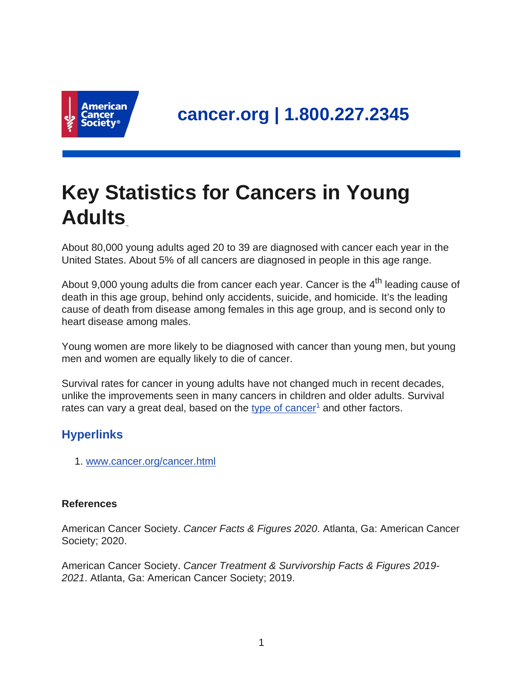

## **Key Statistics for Cancers in Young Adults**

About 80,000 young adults aged 20 to 39 are diagnosed with cancer each year in the United States. About 5% of all cancers are diagnosed in people in this age range.

About 9,000 young adults die from cancer each year. Cancer is the  $4<sup>th</sup>$  leading cause of death in this age group, behind only accidents, suicide, and homicide. It's the leading cause of death from disease among females in this age group, and is second only to heart disease among males.

Young women are more likely to be diagnosed with cancer than young men, but young men and women are equally likely to die of cancer.

Survival rates for cancer in young adults have not changed much in recent decades, unlike the improvements seen in many cancers in children and older adults. Survival rates can vary a great deal, based on the [type of cancer](https://www.cancer.org/cancer.html)<sup>1</sup> and other factors.

## **Hyperlinks**

1. [www.cancer.org/cancer.html](https://www.cancer.org/cancer.html)

## **References**

American Cancer Society. Cancer Facts & Figures 2020. Atlanta, Ga: American Cancer Society; 2020.

American Cancer Society. Cancer Treatment & Survivorship Facts & Figures 2019- 2021. Atlanta, Ga: American Cancer Society; 2019.